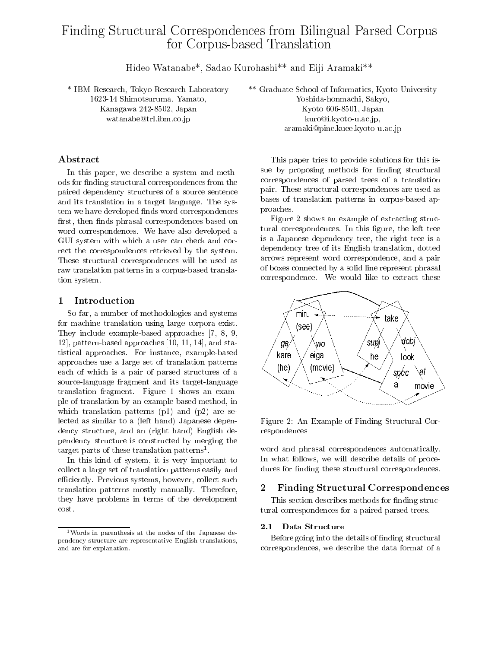# Finding Structural Correspondences from BilingualParsed Corpus for Corpus-based Translation

Hideo Watanabe\*, Sadao Kurohashi\*\* and Eiji Aramaki\*\*

\* IBM Research, Tokyo Research Laboratory 1623-14 Shimotsuruma, Yamato, Kanagawa 242-8502, Japan watanabe@trl.ibm.co.jp

## Abstract

In this paper, we describe a system and methods for finding structural correspondences from the paired dependency structures of a source sentence and its translation in a target language. The system we have developed finds word correspondences first, then finds phrasal correspondences based on word correspondences. We have also developed a GUI system with which a user can check and correct the correspondences retrieved by the system. These structural correspondences will be used as raw translation patterns in a corpus-based translation system.

### $\mathbf{1}$ **Introduction**

So far, a number of methodologies and systems for machine translation using large corpora exist. They include example-based approaches [7, 8, 9, 12], pattern-based approaches [10, 11, 14], and statistical approaches. For instance, example-based approaches use a large set of translation patterns each of which is a pair of parsed structures of a source-language fragment and its target-language translation fragment. Figure 1 shows an example of translation by an example-based method, in which translation patterns (p1) and (p2) are selected as similar to a (left hand) Japanese dependency structure, and an (right hand) English dependency structure is constructed by merging the target parts of these translation patterns.

In this kind of system, it is very important to collect a large set of translation patterns easily and efficiently. Previous systems, however, collect such translation patterns mostly manually. Therefore, they have problems in terms of the development cost.

\*\* Graduate School of Informatics, Kyoto University Yoshida-honmachi, Sakyo, Kyoto 606-8501, Japan kuro@i.kyoto-u.ac.jp,

aramaki@pine.kuee.kyoto-u.ac.jp

This paper tries to provide solutions for this issue by proposing methods for finding structural correspondences of parsed trees of a translation pair. These structural correspondences are used as bases of translation patterns in corpus-based approaches.

Figure 2 shows an example of extracting structural correspondences. In this figure, the left tree is a Japanese dependency tree, the right tree is a dependency tree of its English translation, dotted arrows represent word correspondence, and a pair of boxes connected by a solid line represent phrasal correspondence. We would like to extract these



Figure 2: An Example of Finding Structural Correspondences

word and phrasal correspondences automatically. In what follows, we will describe details of procedures for finding these structural correspondences.

### $\overline{2}$ 2 Finding Structural Correspondences

This section describes methods for finding structural correspondences for a paired parsed trees.

## 2.1 Data Structure

Before going into the details of finding structural correspondences, we describe the data format of a

<sup>1</sup>Words in parenthesis at the nodes of the Japanese dependency structure are representative English translations, and are for explanation.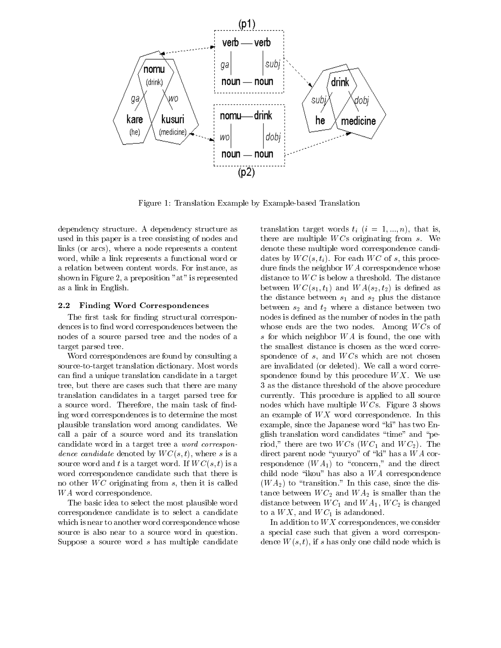

Figure 1: Translation Example by Example-based Translation

dependency structure. A dependency structure as used in this paper is a tree consisting of nodes and links (or arcs), where a node represents a content word, while a link represents a functional word or a relation between content words. For instance, as shown in Figure 2, a preposition "at" is represented as a link in English.

### 2.2 Finding Word Correspondences

The first task for finding structural correspondences is to find word correspondences between the nodes of a source parsed tree and the nodes of a target parsed tree.

Word correspondences are found by consulting a source-to-target translation dictionary. Most words can find a unique translation candidate in a target tree, but there are cases such that there are many translation candidates in a target parsed tree for a source word. Therefore, the main task of finding word correspondences is to determine the most plausible translation word among candidates. We call a pair of a source word and its translation candidate word in a target tree a word correspondence candidate denoted by  $WC(s, t)$ , where s is a source word and t is a target word. If  $WC(s, t)$  is a word correspondence candidate such that there is no other  $WC$  originating from s, then it is called WA word correspondence.

The basic idea to select the most plausible word correspondence candidate is to select a candidate which is near to another word correspondence whose source is also near to a source word in question. Suppose a source word s has multiple candidate

translation target words  $t_i$   $(i = 1, ..., n)$ , that is, there are multiple  $WCs$  originating from  $s$ . We denote these multiple word correspondence candidates by  $WC(s, t_i)$ . For each  $WC$  of s, this procedure finds the neighbor  $WA$  correspondence whose distance to  $WC$  is below a threshold. The distance between  $WC(s_1, t_1)$  and  $WA(s_2, t_2)$  is defined as the distance between  $s_1$  and  $s_2$  plus the distance between  $s_2$  and  $t_2$  where a distance between two nodes is defined as the number of nodes in the path whose ends are the two nodes. Among  $WCs$  of s for which neighbor  $WA$  is found, the one with the smallest distance is chosen as the word correspondence of  $s$ , and  $WCs$  which are not chosen are invalidated (or deleted). We call a word correspondence found by this procedure  $WX$ . We use 3 as the distance threshold of the above procedure currently. This procedure is applied to all source nodes which have multiple  $WCs$ . Figure 3 shows an example of  $WX$  word correspondence. In this example, since the Japanese word "ki" has two English translation word candidates "time" and "period," there are two  $WCs$  ( $WC_1$  and  $WC_2$ ). The direct parent node "yuuryo" of "ki" has a  $WA$  correspondence  $(W A_1)$  to "concern," and the direct child node "ikou" has also a  $WA$  correspondence  $(W A<sub>2</sub>)$  to "transition." In this case, since the distance between  $WC_2$  and  $WA_2$  is smaller than the distance between  $WC_1$  and  $WA_1$ ,  $WC_2$  is changed to a  $WX$ , and  $WC_1$  is adandoned.

In addition to  $WX$  correspondences, we consider a special case such that given a word correspondence  $W(s, t)$ , if s has only one child node which is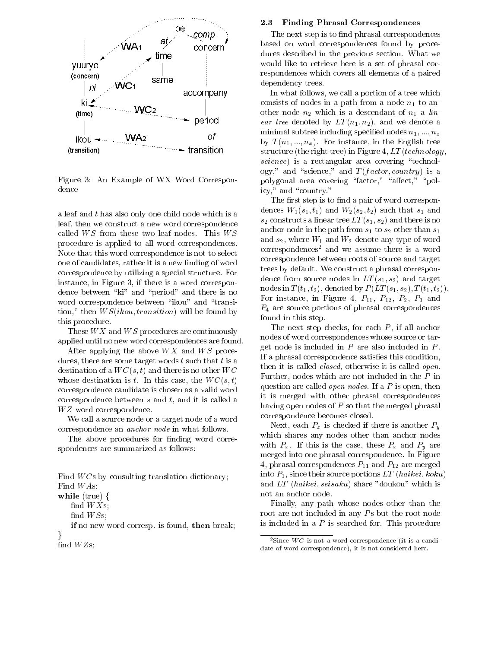

Figure 3:An Example of WX Word Correspondence

a leaf and t has also only one child node which is a leaf, then we construct a new word correspondence called  $WS$  from these two leaf nodes. This  $WS$ procedure is applied to all word correspondences. Note that this word correspondence is not to select one of candidates, rather it is a new finding of word correspondence by utilizing a special structure. For instance, in Figure 3, if there is a word correspondence between "ki" and "period" and there is no word correspondence between "ikou" and "transition," then  $WS(ikou, transition)$  will be found by this procedure.

These  $WX$  and  $WS$  procedures are continuously applied until no new word correspondences are found.

After applying the above  $WX$  and  $WS$  procedures, there are some target words  $t$  such that  $t$  is a destination of a  $WC(s, t)$  and there is no other  $WC$ whose destination is t. In this case, the  $WC(s, t)$ correspondence candidate is chosen as a valid word correspondence between  $s$  and  $t$ , and it is called a W Z word correspondence.

We call a source node or a target node of a word correspondence an anchor node in what follows.

The above procedures for finding word correspondences are summarized as follows:

Find  $WCs$  by consulting translation dictionary; Find W As;

 $\textbf{while} \,\, \text{(true)} \,\, \{$ 

find  $W S$ s;

if no new word corresp. In the breaking the bar words, then  $\}$ 

find  $WZs$ ;

## 2.3 Finding Phrasal Correspondences

The next step is to find phrasal correspondences based on word correspondences found by procedures described in the previous section. What we would like to retrieve here is a set of phrasal correspondences which covers all elements of a paired dependency trees.

In what follows, we call a portion of a tree which consists of nodes in a path from a node  $n_1$  to another node  $n_2$  which is a descendant of  $n_1$  a linear tree denoted by  $LT(n_1, n_2)$ , and we denote a minimal subtree including specified nodes  $n_1, ..., n_x$ by  $T(n_1, ..., n_x)$ . For instance, in the English tree structure (the right tree) in Figure 4,  $LT (technology,$  $\mathit{science}$ ) is a rectangular area covering "technology," and "science," and  $T (factor, country)$  is a polygonal area covering "factor," "affect," "policy," and "country."

The first step is to find a pair of word correspondences  $W_1(s_1, t_1)$  and  $W_2(s_2, t_2)$  such that  $s_1$  and  $s_2$  constructs a linear tree  $LT(s_1, s_2)$  and there is no anchor node in the path from  $s_1$  to  $s_2$  other than  $s_1$ and  $s_2$ , where  $W_1$  and  $W_2$  denote any type of word correspondences<sup>2</sup> and we assume there is a word correspondence between roots of source and target trees by default. We construct a phrasal correspondence from source nodes in  $LT(s_1, s_2)$  and target nodes in  $T(t_1, t_2)$ , denoted by  $P(LT(s_1, s_2), T(t_1, t_2))$ . For instance, in Figure 4,  $P_{11}$ ,  $P_{12}$ ,  $P_2$ ,  $P_3$  and  $P_4$  are source portions of phrasal correspondences found in this step.

The next step checks, for each  $P$ , if all anchor nodes of word correspondences whose source or target node is included in  $P$  are also included in  $P$ . If a phrasal correspondence satisfies this condition, then it is called *closed*, otherwise it is called *open*. Further, nodes which are not included in the P in question are called *open nodes*. If a  $P$  is open, then it is merged with other phrasal correspondences having open nodes of  $P$  so that the merged phrasal correspondence becomes closed.

Next, each  $P_x$  is checked if there is another  $P_y$ which shares any nodes other than anchor nodes with  $P_x$ . If this is the case, these  $P_x$  and  $P_y$  are merged into one phrasal correspondence. In Figure 4, phrasal correspondences  $P_{11}$  and  $P_{12}$  are merged into  $P_1$ , since their source portions LT (haikei, koku) and LT (haikei; seisaku) share "doukou" which is not an anchor node.

Finally, any path whose nodes other than the root are not included in any  $Ps$  but the root node is included in a  $P$  is searched for. This procedure

find  $WXs$ ;

 $^{2}$ Since  $WC$  is not a word correspondence (it is a candidate of word correspondence), it is not considered here.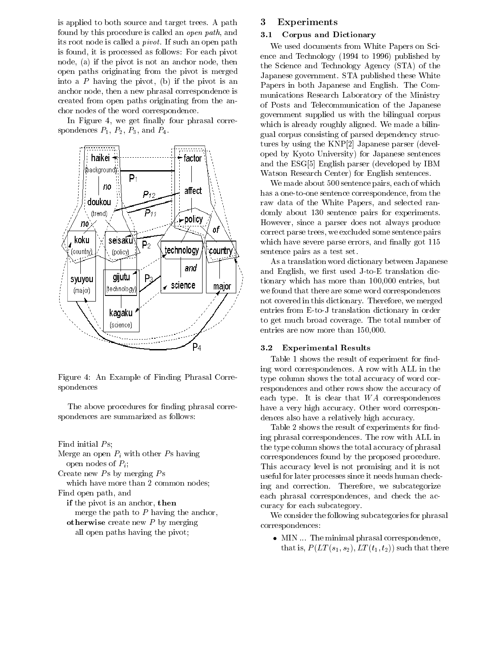is applied to both source and target trees. A path found by this procedure is called an open path, and its root node is called a pivot. If such an open path is found, it is processed as follows: For each pivot node, (a) if the pivot is not an anchor node, then open paths originating from the pivot is merged into a  $P$  having the pivot, (b) if the pivot is an anchor node, then a new phrasal correspondence is created from open paths originating from the anchor nodes of the word correspondence.

In Figure 4, we get finally four phrasal correspondences  $P_1$ ,  $P_2$ ,  $P_3$ , and  $P_4$ .



Figure 4: An Example of Finding Phrasal Correspondences

The above procedures for finding phrasal correspondences are summarized as follows:

Find initial  $Ps$ ;

Merge an open  $P_i$  with other Ps having open nodes of  $P_i$ ; Create new  $Ps$  by merging  $Ps$ 

which have more than 2 common nodes; Find open path, and

if the pivot is an anished, the pipe

merge the path to  $P$  having the anchor,

otherwise create new P by Merging all open paths having the pivot;

## **Experiments**

### 3.1Corpus and Dictionary

We used documents from White Papers on Science and Technology (1994 to 1996) published by the Science and Technology Agency (STA) of the Japanese government. STA published these White Papers in both Japanese and English. The Com munications Research Laboratory of the Ministry of Posts and Telecommunication of the Japanese government supplied us with the bilingual corpus which is already roughly aligned. We made a bilingual corpus consisting of parsed dependency structures by using the KNP[2] Japanese parser (developed by Kyoto University) for Japanese sentences and the ESG[5] English parser (developed by IBM Watson Research Center) for English sentences.

We made about 500 sentence pairs, each of which has a one-to-one sentence correspondence, from the raw data of the White Papers, and selected randomly about 130 sentence pairs for experiments. However, since a parser does not always produce correct parse trees, we excluded some sentence pairs which have severe parse errors, and finally got  $115$ sentence pairs as a test set.

As a translation word dictionary between Japanese and English, we first used  $J$ -to-E translation dictionary which has more than 100,000 entries, but we found that there are some word correspondences not covered in this dictionary. Therefore, we merged entries from E-to-J translation dictionary in order to get much broad coverage. The total number of entries are now more than 150,000.

### 3.2Experimental Results

Table 1 shows the result of experiment for finding word correspondences. A row with ALL in the type column shows the total accuracy of word correspondences and other rows show the accuracy of each type. It is clear that  $WA$  correspondences have a very high accuracy. Other word correspondences also have a relatively high accuracy.

Table 2 shows the result of experiments for finding phrasal correspondences. The row with ALL in the type column shows the total accuracy of phrasal correspondences found by the proposed procedure. This accuracy level is not promising and it is not useful for later processes since it needs human checking and correction. Therefore, we subcategorize each phrasal correspondences, and check the accuracy for each subcategory.

We consider the following subcategories for phrasal correspondences:

 $\bullet\,$  MIN  $\ldots\,$  The minimal phrasal correspondence, that is,  $P(LT(s_1, s_2), LT(t_1, t_2))$  such that there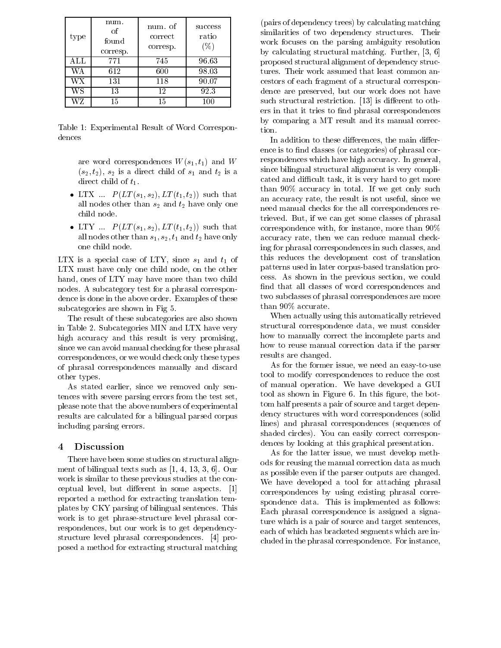| type | num.<br>Ωf<br>found<br>corresp. | num. of<br>correct<br>corresp. | <b>SUCCESS</b><br>ratio<br>(0/0) |
|------|---------------------------------|--------------------------------|----------------------------------|
| ALL  | 771                             | 745                            | 96.63                            |
| WΑ   | 612                             | 600                            | 98.03                            |
| WХ   | 131                             | 118                            | 90.07                            |
| WS   | 13                              | 12                             | 92.3                             |
| WZ   | 15                              | 15                             | 100                              |

Table 1: Experimental Result of Word Correspondences

are word correspondences  $W(s_1, t_1)$  and W  $(s_2, t_2)$ ,  $s_2$  is a direct child of  $s_1$  and  $t_2$  is a direct child of  $t_1$ .

- LIX ...  $P(L1 (s_1, s_2), L1 (t_1, t_2))$  such that all nodes other than  $s_2$  and  $t_2$  have only one child node.
- LIY ...  $P(LT(s_1, s_2), LT(t_1, t_2))$  such that all nodes other than  $s_1, s_2, t_1$  and  $t_2$  have only one child node.

LTX is a special case of LTY, since  $s_1$  and  $t_1$  of LTX must have only one child node, on the other hand, ones of LTY may have more than two child nodes. A subcategory test for a phrasal correspondence is done in the above order. Examples of these subcategories are shown in Fig 5.

The result of these subcategories are also shown in Table 2. Subcategories MIN and LTX have very high accuracy and this result is very promising, since we can avoid manual checking for these phrasal correspondences, or we would check only these types of phrasal correspondences manually and discard other types.

As stated earlier, since we removed only sentences with severe parsing errors from the test set, please note that the above numbers of experimental results are calculated for a bilingual parsed corpus including parsing errors.

### $\overline{4}$ **Discussion**

There have been some studies on structural alignment of bilingual texts such as [1, 4, 13, 3, 6]. Our work is similar to these previous studies at the conceptual level, but different in some aspects.  $[1]$ reported a method for extracting translation templates by CKY parsing of bilingual sentences. This work is to get phrase-structure level phrasal correspondences, but our work is to get dependencystructure level phrasal correspondences. [4] proposed a method for extracting structural matching

(pairs of dependency trees) by calculating matching similarities of two dependency structures. Their work focuses on the parsing ambiguity resolution by calculating structural matching. Further, [3, 6] proposed structural alignment of dependency structures. Their work assumed that least common ancestors of each fragment of a structural correspondence are preserved, but our work does not have such structural restriction.  $[13]$  is different to others in that it tries to find phrasal correspondences by comparing a MT result and its manual correction.

In addition to these differences, the main difference is to find classes (or categories) of phrasal correspondences which have high accuracy. In general, since bilingual structural alignment is very complicated and difficult task, it is very hard to get more than 90% accuracy in total. If we get only such an accuracy rate, the result is not useful, since we need manual checks for the all correspondences retrieved. But, if we can get some classes of phrasal correspondence with, for instance, more than 90% accuracy rate, then we can reduce manual checking for phrasal correspondences in such classes, and this reduces the development cost of translation patterns used in later corpus-based translation process. As shown in the previous section, we could find that all classes of word correspondences and two subclasses of phrasal correspondences are more than 90% accurate.

When actually using this automatically retrieved structural correspondence data, we must consider how to manually correct the incomplete parts and how to reuse manual correction data if the parser results are changed.

As for the former issue, we need an easy-to-use tool to modify correspondences to reduce the cost of manual operation. We have developed a GUI tool as shown in Figure 6. In this figure, the bottom half presents a pair of source and target dependency structures with word correspondences (solid lines) and phrasal correspondences (sequences of shaded circles). You can easily correct correspondences by looking at this graphical presentation.

As for the latter issue, we must develop methods for reusing the manual correction data as much as possible even if the parser outputs are changed. We have developed a tool for attaching phrasal correspondences by using existing phrasal correspondence data. This is implemented as follows: Each phrasal correspondence is assigned a signature which is a pair of source and target sentences, each of which has bracketed segments which are included in the phrasal correspondence. For instance,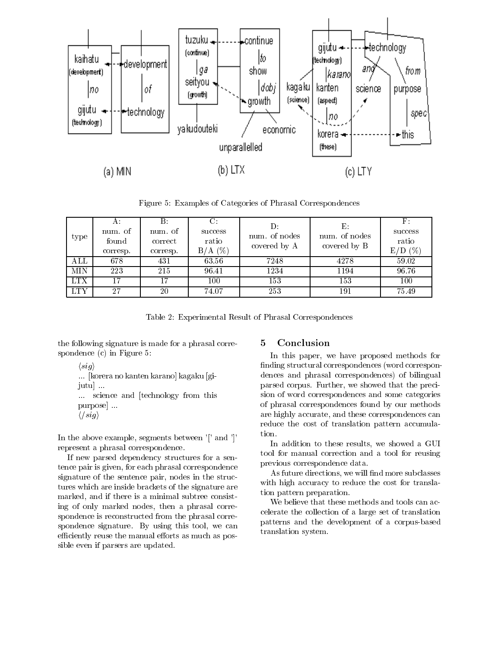

Figure 5: Examples of Categories of Phrasal Correspondences

| type                    | num. of<br>found<br>corresp. | В:<br>num. of<br>correct<br>corresp. | success<br>ratio<br>$B/A$ (%) | num, of nodes<br>covered by A | Е.<br>num. of nodes<br>covered by B | success<br>ratio<br>$E/D$ (%) |
|-------------------------|------------------------------|--------------------------------------|-------------------------------|-------------------------------|-------------------------------------|-------------------------------|
| $\mathop{\mathrm{ALL}}$ | 678                          | 431                                  | 63.56                         | 7248                          | 4278                                | 59.02                         |
| <b>MIN</b>              | 223                          | 215                                  | 96.41                         | 1234                          | 1194                                | 96.76                         |
| <b>LTX</b>              | 17                           |                                      | 100                           | 153                           | 153                                 | 100                           |
| <b>LTY</b>              | 27                           | 20                                   | 74.07                         | 253                           | 191                                 | 75.49                         |

Table 2: Experimental Result of Phrasal Correspondences

the following signature is made for a phrasal correspondence (c) in Figure 5:

```
\langle sig \rangle
```
... [korera no kanten karano] kagaku [gijutu] ... ... science and [technology from this purpose] ...  $\langle$ /sig $\rangle$ 

In the above example, segments between '[' and ']' represent a phrasal correspondence.

If new parsed dependency structures for a sentence pair is given, for each phrasal correspondence signature of the sentence pair, nodes in the structures which are inside brackets of the signature are marked, and if there is a minimal subtree consisting of only marked nodes, then a phrasal correspondence is reconstructed from the phrasal correspondence signature. By using this tool, we can efficiently reuse the manual efforts as much as possible even if parsers are updated.

In this paper, we have proposed methods for finding structural correspondences (word correspondences and phrasal correspondences) of bilingual parsed corpus. Further, we showed that the precision of word correspondences and some categories of phrasal correspondences found by our methods are highly accurate, and these correspondences can reduce the cost of translation pattern accumulation.

In addition to these results, we showed a GUI tool for manual correction and a tool for reusing previous correspondence data.

As future directions, we will find more subclasses with high accuracy to reduce the cost for translation pattern preparation.

We believe that these methods and tools can accelerate the collection of a large set of translation patterns and the development of a corpus-based translation system.